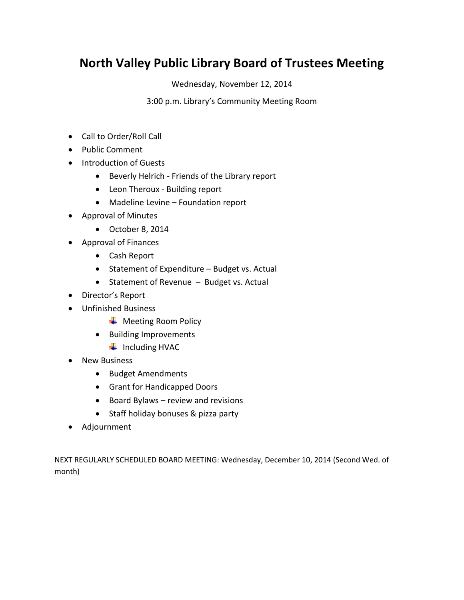# **North Valley Public Library Board of Trustees Meeting**

Wednesday, November 12, 2014

3:00 p.m. Library's Community Meeting Room

- Call to Order/Roll Call
- Public Comment
- Introduction of Guests
	- Beverly Helrich Friends of the Library report
	- Leon Theroux Building report
	- Madeline Levine Foundation report
- Approval of Minutes
	- October 8, 2014
- Approval of Finances
	- Cash Report
	- Statement of Expenditure Budget vs. Actual
	- Statement of Revenue Budget vs. Actual
- Director's Report
- Unfinished Business
	- $\overline{\phantom{a}}$  Meeting Room Policy
	- Building Improvements
		- $\blacksquare$  Including HVAC
- New Business
	- Budget Amendments
	- Grant for Handicapped Doors
	- $\bullet$  Board Bylaws review and revisions
	- Staff holiday bonuses & pizza party
- Adjournment

NEXT REGULARLY SCHEDULED BOARD MEETING: Wednesday, December 10, 2014 (Second Wed. of month)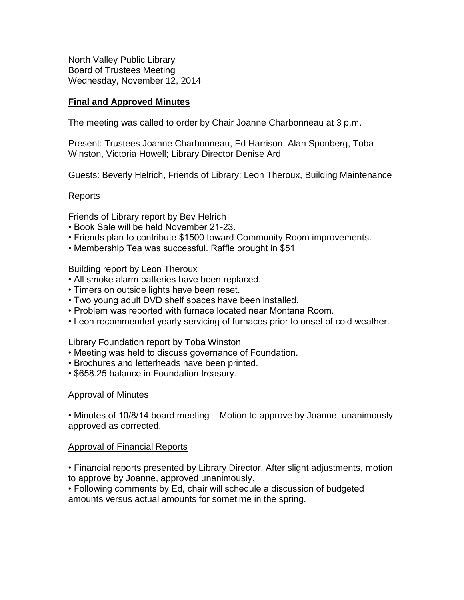North Valley Public Library Board of Trustees Meeting Wednesday, November 12, 2014

### **Final and Approved Minutes**

The meeting was called to order by Chair Joanne Charbonneau at 3 p.m.

Present: Trustees Joanne Charbonneau, Ed Harrison, Alan Sponberg, Toba Winston, Victoria Howell; Library Director Denise Ard

Guests: Beverly Helrich, Friends of Library; Leon Theroux, Building Maintenance

#### Reports

Friends of Library report by Bev Helrich

- Book Sale will be held November 21-23.
- Friends plan to contribute \$1500 toward Community Room improvements.
- Membership Tea was successful. Raffle brought in \$51

Building report by Leon Theroux

- All smoke alarm batteries have been replaced.
- Timers on outside lights have been reset.
- Two young adult DVD shelf spaces have been installed.
- Problem was reported with furnace located near Montana Room.
- Leon recommended yearly servicing of furnaces prior to onset of cold weather.

Library Foundation report by Toba Winston

- Meeting was held to discuss governance of Foundation.
- Brochures and letterheads have been printed.
- \$658.25 balance in Foundation treasury.

#### Approval of Minutes

• Minutes of 10/8/14 board meeting – Motion to approve by Joanne, unanimously approved as corrected.

#### Approval of Financial Reports

• Financial reports presented by Library Director. After slight adjustments, motion to approve by Joanne, approved unanimously.

• Following comments by Ed, chair will schedule a discussion of budgeted amounts versus actual amounts for sometime in the spring.